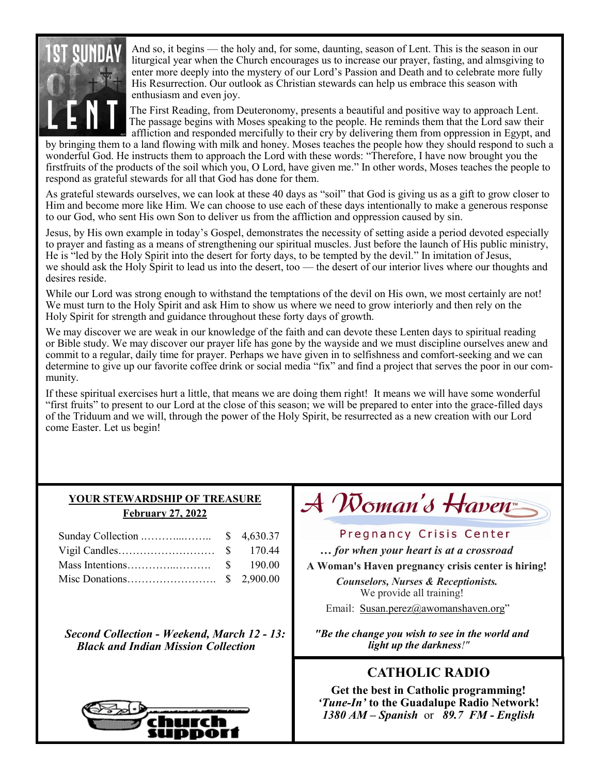

And so, it begins — the holy and, for some, daunting, season of Lent. This is the season in our liturgical year when the Church encourages us to increase our prayer, fasting, and almsgiving to enter more deeply into the mystery of our Lord's Passion and Death and to celebrate more fully His Resurrection. Our outlook as Christian stewards can help us embrace this season with enthusiasm and even joy.

The First Reading, from Deuteronomy, presents a beautiful and positive way to approach Lent. The passage begins with Moses speaking to the people. He reminds them that the Lord saw their affliction and responded mercifully to their cry by delivering them from oppression in Egypt, and

by bringing them to a land flowing with milk and honey. Moses teaches the people how they should respond to such a wonderful God. He instructs them to approach the Lord with these words: "Therefore, I have now brought you the firstfruits of the products of the soil which you, O Lord, have given me." In other words, Moses teaches the people to respond as grateful stewards for all that God has done for them.

As grateful stewards ourselves, we can look at these 40 days as "soil" that God is giving us as a gift to grow closer to Him and become more like Him. We can choose to use each of these days intentionally to make a generous response to our God, who sent His own Son to deliver us from the affliction and oppression caused by sin.

Jesus, by His own example in today's Gospel, demonstrates the necessity of setting aside a period devoted especially to prayer and fasting as a means of strengthening our spiritual muscles. Just before the launch of His public ministry, He is "led by the Holy Spirit into the desert for forty days, to be tempted by the devil." In imitation of Jesus, we should ask the Holy Spirit to lead us into the desert, too — the desert of our interior lives where our thoughts and desires reside.

While our Lord was strong enough to withstand the temptations of the devil on His own, we most certainly are not! We must turn to the Holy Spirit and ask Him to show us where we need to grow interiorly and then rely on the Holy Spirit for strength and guidance throughout these forty days of growth.

We may discover we are weak in our knowledge of the faith and can devote these Lenten days to spiritual reading or Bible study. We may discover our prayer life has gone by the wayside and we must discipline ourselves anew and commit to a regular, daily time for prayer. Perhaps we have given in to selfishness and comfort-seeking and we can determine to give up our favorite coffee drink or social media "fix" and find a project that serves the poor in our community.

If these spiritual exercises hurt a little, that means we are doing them right! It means we will have some wonderful "first fruits" to present to our Lord at the close of this season; we will be prepared to enter into the grace-filled days of the Triduum and we will, through the power of the Holy Spirit, be resurrected as a new creation with our Lord come Easter. Let us begin!

#### **YOUR STEWARDSHIP OF TREASURE February 27, 2022**

*Second Collection - Weekend, March 12 - 13: Black and Indian Mission Collection*



# $\mathcal A$  Woman's Haven $\mathbb P$

#### Pregnancy Crisis Center

*… for when your heart is at a crossroad*

**A Woman's Haven pregnancy crisis center is hiring!** 

*Counselors, Nurses & Receptionists.*  We provide all training!

Email: [Susan.perez@awomanshaven.org](mailto:Susan.perez@awomanshaven.org)"

*"Be the change you wish to see in the world and light up the darkness!"*

## **CATHOLIC RADIO**

**Get the best in Catholic programming!**  *'Tune-In'* **to the Guadalupe Radio Network!** *1380 AM – Spanish* or *89.7 FM - English*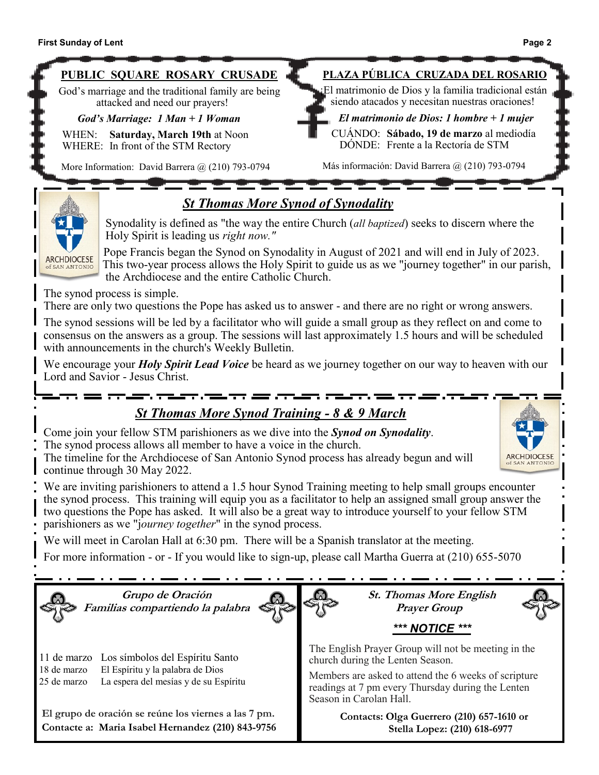CUÁNDO: **Sábado, 19 de marzo** al mediodíaDÓNDE: Frente a la Rectoría de STM

Más información: David Barrera @ (210) 793-0794



WHEN: **Saturday, March 19th** at Noon WHERE: In front of the STM Rectory

More Information: David Barrera @ (210) 793-0794

## *St Thomas More Synod of Synodality*



Synodality is defined as "the way the entire Church (*all baptized*) seeks to discern where the Holy Spirit is leading us *right now."* 

Pope Francis began the Synod on Synodality in August of 2021 and will end in July of 2023. This two-year process allows the Holy Spirit to guide us as we "journey together" in our parish, the Archdiocese and the entire Catholic Church.

The synod process is simple.

There are only two questions the Pope has asked us to answer - and there are no right or wrong answers.

The synod sessions will be led by a facilitator who will guide a small group as they reflect on and come to consensus on the answers as a group. The sessions will last approximately 1.5 hours and will be scheduled with announcements in the church's Weekly Bulletin.

We encourage your *Holy Spirit Lead Voice* be heard as we journey together on our way to heaven with our Lord and Savior - Jesus Christ.

## *St Thomas More Synod Training - 8 9 March*

Come join your fellow STM parishioners as we dive into the *Synod on Synodality*.

The synod process allows all member to have a voice in the church.

The timeline for the Archdiocese of San Antonio Synod process has already begun and will continue through 30 May 2022.



We are inviting parishioners to attend a 1.5 hour Synod Training meeting to help small groups encounter the synod process. This training will equip you as a facilitator to help an assigned small group answer the two questions the Pope has asked. It will also be a great way to introduce yourself to your fellow STM parishioners as we "j*ourney together*" in the synod process.

We will meet in Carolan Hall at 6:30 pm. There will be a Spanish translator at the meeting.

For more information - or - If you would like to sign-up, please call Martha Guerra at (210) 655-5070

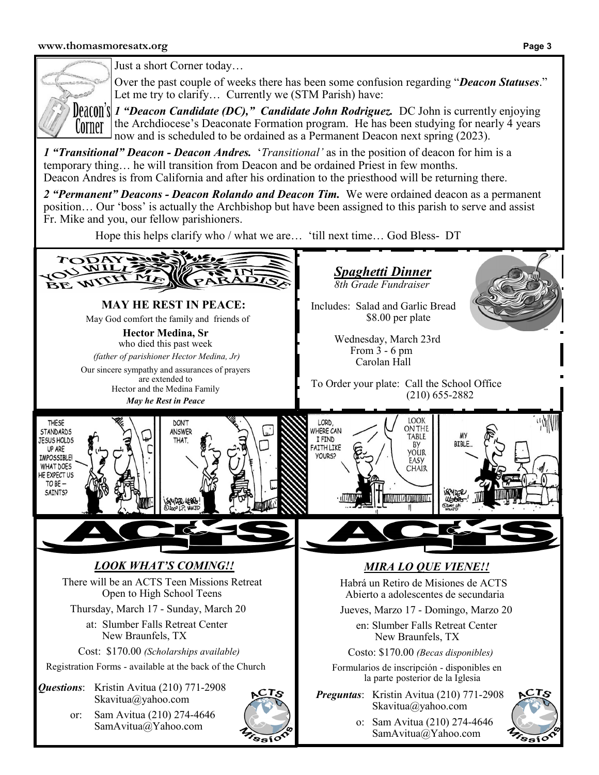

Just a short Corner today…

Over the past couple of weeks there has been some confusion regarding "*Deacon Statuses*." Let me try to clarify... Currently we (STM Parish) have:

*1 "Deacon Candidate (DC)," Candidate John Rodriguez.* DC John is currently enjoying the Archdiocese's Deaconate Formation program. He has been studying for nearly 4 years now and is scheduled to be ordained as a Permanent Deacon next spring (2023).

*1 "Transitional" Deacon - Deacon Andres.* '*Transitional'* as in the position of deacon for him is a temporary thing… he will transition from Deacon and be ordained Priest in few months. Deacon Andres is from California and after his ordination to the priesthood will be returning there.

*2 "Permanent" Deacons - Deacon Rolando and Deacon Tim.* We were ordained deacon as a permanent position… Our 'boss' is actually the Archbishop but have been assigned to this parish to serve and assist Fr. Mike and you, our fellow parishioners.

Hope this helps clarify who / what we are… 'till next time… God Bless- DT